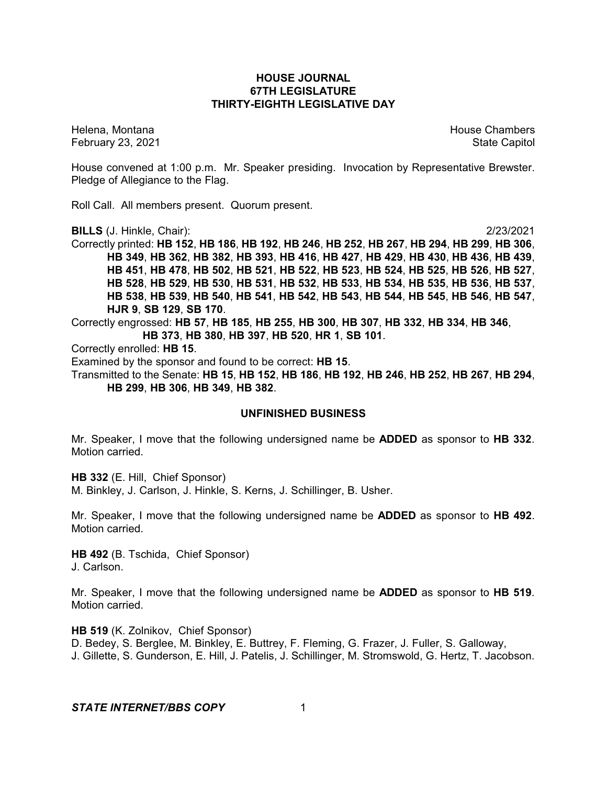### **HOUSE JOURNAL 67TH LEGISLATURE THIRTY-EIGHTH LEGISLATIVE DAY**

February 23, 2021 **State Capitol** 

Helena, Montana **House Chambers** House Chambers **House Chambers** House Chambers **House Chambers** 

House convened at 1:00 p.m. Mr. Speaker presiding. Invocation by Representative Brewster. Pledge of Allegiance to the Flag.

Roll Call. All members present. Quorum present.

**BILLS** (J. Hinkle, Chair): 2/23/2021

Correctly printed: **HB 152**, **HB 186**, **HB 192**, **HB 246**, **HB 252**, **HB 267**, **HB 294**, **HB 299**, **HB 306**, **HB 349**, **HB 362**, **HB 382**, **HB 393**, **HB 416**, **HB 427**, **HB 429**, **HB 430**, **HB 436**, **HB 439**, **HB 451**, **HB 478**, **HB 502**, **HB 521**, **HB 522**, **HB 523**, **HB 524**, **HB 525**, **HB 526**, **HB 527**, **HB 528**, **HB 529**, **HB 530**, **HB 531**, **HB 532**, **HB 533**, **HB 534**, **HB 535**, **HB 536**, **HB 537**, **HB 538**, **HB 539**, **HB 540**, **HB 541**, **HB 542**, **HB 543**, **HB 544**, **HB 545**, **HB 546**, **HB 547**, **HJR 9**, **SB 129**, **SB 170**.

Correctly engrossed: **HB 57**, **HB 185**, **HB 255**, **HB 300**, **HB 307**, **HB 332**, **HB 334**, **HB 346**, **HB 373**, **HB 380**, **HB 397**, **HB 520**, **HR 1**, **SB 101**.

Correctly enrolled: **HB 15**.

Examined by the sponsor and found to be correct: **HB 15**.

Transmitted to the Senate: **HB 15**, **HB 152**, **HB 186**, **HB 192**, **HB 246**, **HB 252**, **HB 267**, **HB 294**, **HB 299**, **HB 306**, **HB 349**, **HB 382**.

### **UNFINISHED BUSINESS**

Mr. Speaker, I move that the following undersigned name be **ADDED** as sponsor to **HB 332**. Motion carried.

**HB 332** (E. Hill, Chief Sponsor)

M. Binkley, J. Carlson, J. Hinkle, S. Kerns, J. Schillinger, B. Usher.

Mr. Speaker, I move that the following undersigned name be **ADDED** as sponsor to **HB 492**. Motion carried.

**HB 492** (B. Tschida, Chief Sponsor) J. Carlson.

Mr. Speaker, I move that the following undersigned name be **ADDED** as sponsor to **HB 519**. Motion carried.

**HB 519** (K. Zolnikov, Chief Sponsor) D. Bedey, S. Berglee, M. Binkley, E. Buttrey, F. Fleming, G. Frazer, J. Fuller, S. Galloway, J. Gillette, S. Gunderson, E. Hill, J. Patelis, J. Schillinger, M. Stromswold, G. Hertz, T. Jacobson.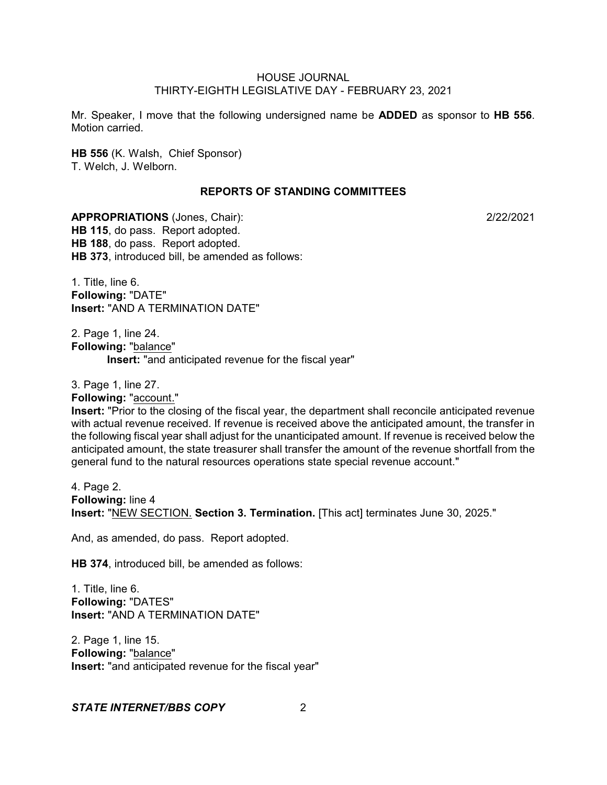Mr. Speaker, I move that the following undersigned name be **ADDED** as sponsor to **HB 556**. Motion carried.

**HB 556** (K. Walsh, Chief Sponsor) T. Welch, J. Welborn.

#### **REPORTS OF STANDING COMMITTEES**

**APPROPRIATIONS** (Jones, Chair): 2/22/2021 **HB 115**, do pass. Report adopted. **HB 188**, do pass. Report adopted. **HB 373**, introduced bill, be amended as follows:

1. Title, line 6. **Following:** "DATE" **Insert:** "AND A TERMINATION DATE"

2. Page 1, line 24. **Following:** "balance" **Insert:** "and anticipated revenue for the fiscal year"

3. Page 1, line 27. **Following:** "account." **Insert:** "Prior to the closing of the fiscal year, the department shall reconcile anticipated revenue with actual revenue received. If revenue is received above the anticipated amount, the transfer in the following fiscal year shall adjust for the unanticipated amount. If revenue is received below the anticipated amount, the state treasurer shall transfer the amount of the revenue shortfall from the general fund to the natural resources operations state special revenue account."

4. Page 2. **Following:** line 4 **Insert:** "NEW SECTION. **Section 3. Termination.** [This act] terminates June 30, 2025."

And, as amended, do pass. Report adopted.

**HB 374**, introduced bill, be amended as follows:

1. Title, line 6. **Following:** "DATES" **Insert:** "AND A TERMINATION DATE"

2. Page 1, line 15. **Following:** "balance" **Insert:** "and anticipated revenue for the fiscal year"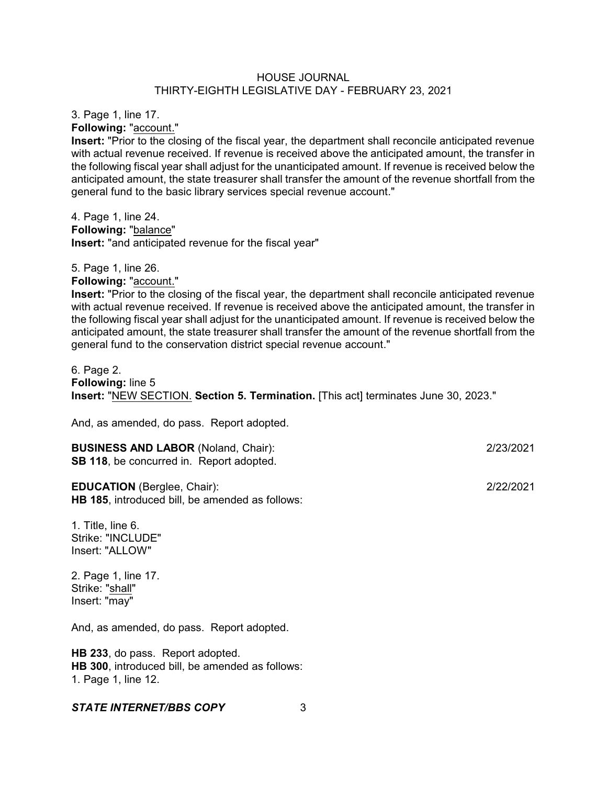3. Page 1, line 17.

**Following:** "account."

5. Page 1, line 26.

**Insert:** "Prior to the closing of the fiscal year, the department shall reconcile anticipated revenue with actual revenue received. If revenue is received above the anticipated amount, the transfer in the following fiscal year shall adjust for the unanticipated amount. If revenue is received below the anticipated amount, the state treasurer shall transfer the amount of the revenue shortfall from the general fund to the basic library services special revenue account."

4. Page 1, line 24. **Following:** "balance" **Insert:** "and anticipated revenue for the fiscal year"

**Following:** "account." **Insert:** "Prior to the closing of the fiscal year, the department shall reconcile anticipated revenue with actual revenue received. If revenue is received above the anticipated amount, the transfer in the following fiscal year shall adjust for the unanticipated amount. If revenue is received below the anticipated amount, the state treasurer shall transfer the amount of the revenue shortfall from the general fund to the conservation district special revenue account."

6. Page 2. **Following:** line 5 **Insert:** "NEW SECTION. **Section 5. Termination.** [This act] terminates June 30, 2023."

And, as amended, do pass. Report adopted.

**BUSINESS AND LABOR** (Noland, Chair): 2/23/2021 **SB 118**, be concurred in. Report adopted.

**EDUCATION** (Berglee, Chair): 2/22/2021 **HB 185**, introduced bill, be amended as follows:

1. Title, line 6. Strike: "INCLUDE" Insert: "ALLOW"

2. Page 1, line 17. Strike: "shall" Insert: "may"

And, as amended, do pass. Report adopted.

**HB 233**, do pass. Report adopted. **HB 300**, introduced bill, be amended as follows: 1. Page 1, line 12.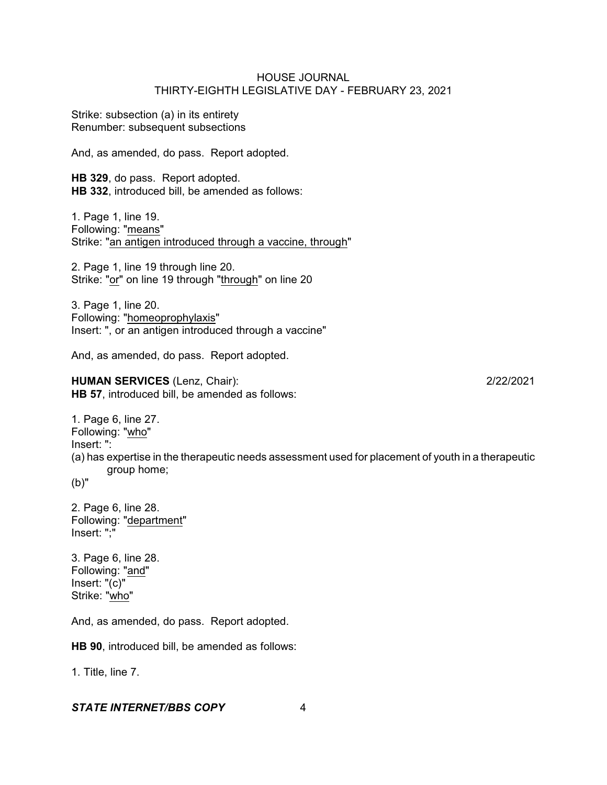Strike: subsection (a) in its entirety Renumber: subsequent subsections

And, as amended, do pass. Report adopted.

**HB 329**, do pass. Report adopted. **HB 332**, introduced bill, be amended as follows:

1. Page 1, line 19. Following: "means" Strike: "an antigen introduced through a vaccine, through"

2. Page 1, line 19 through line 20. Strike: "or" on line 19 through "through" on line 20

3. Page 1, line 20. Following: "homeoprophylaxis" Insert: ", or an antigen introduced through a vaccine"

And, as amended, do pass. Report adopted.

**HUMAN SERVICES** (Lenz, Chair): 2/22/2021 **HB 57**, introduced bill, be amended as follows:

1. Page 6, line 27. Following: "who" Insert: ": (a) has expertise in the therapeutic needs assessment used for placement of youth in a therapeutic group home; (b)"

2. Page 6, line 28. Following: "department" Insert: ";"

3. Page 6, line 28. Following: "and" Insert: "(c)" Strike: "who"

And, as amended, do pass. Report adopted.

**HB 90**, introduced bill, be amended as follows:

1. Title, line 7.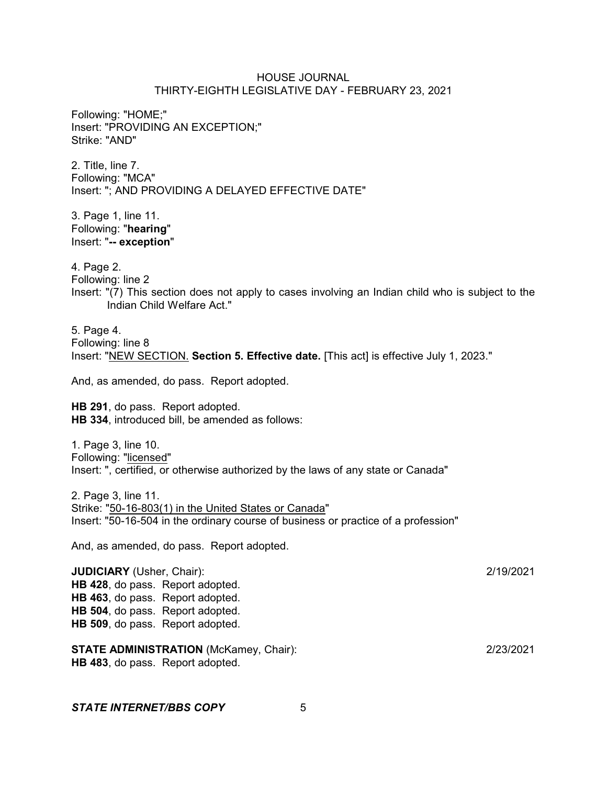Following: "HOME;" Insert: "PROVIDING AN EXCEPTION;" Strike: "AND"

2. Title, line 7. Following: "MCA" Insert: "; AND PROVIDING A DELAYED EFFECTIVE DATE"

3. Page 1, line 11. Following: "**hearing**" Insert: "**-- exception**"

4. Page 2.

Following: line 2

Insert: "(7) This section does not apply to cases involving an Indian child who is subject to the Indian Child Welfare Act."

5. Page 4. Following: line 8 Insert: "NEW SECTION. **Section 5. Effective date.** [This act] is effective July 1, 2023."

And, as amended, do pass. Report adopted.

**HB 291**, do pass. Report adopted. **HB 334**, introduced bill, be amended as follows:

1. Page 3, line 10. Following: "licensed" Insert: ", certified, or otherwise authorized by the laws of any state or Canada"

2. Page 3, line 11. Strike: "50-16-803(1) in the United States or Canada" Insert: "50-16-504 in the ordinary course of business or practice of a profession"

And, as amended, do pass. Report adopted.

**JUDICIARY** (Usher, Chair): 2/19/2021 **HB 428**, do pass. Report adopted. **HB 463**, do pass. Report adopted. **HB 504**, do pass. Report adopted. **HB 509**, do pass. Report adopted.

**STATE ADMINISTRATION** (McKamey, Chair): 2/23/2021 **HB 483**, do pass. Report adopted.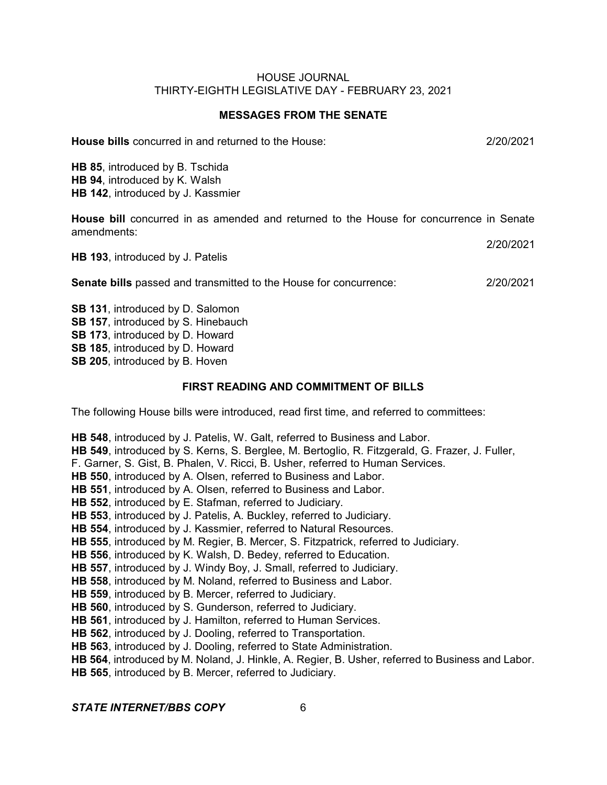#### **MESSAGES FROM THE SENATE**

**House bills** concurred in and returned to the House: 2/20/2021

**HB 85**, introduced by B. Tschida **HB 94**, introduced by K. Walsh **HB 142**, introduced by J. Kassmier

**House bill** concurred in as amended and returned to the House for concurrence in Senate amendments:

|                                  | 2/20/2021 |
|----------------------------------|-----------|
| HB 193, introduced by J. Patelis |           |

**Senate bills** passed and transmitted to the House for concurrence: 2/20/2021

**SB 131**, introduced by D. Salomon **SB 157**, introduced by S. Hinebauch **SB 173**, introduced by D. Howard **SB 185**, introduced by D. Howard **SB 205**, introduced by B. Hoven

### **FIRST READING AND COMMITMENT OF BILLS**

The following House bills were introduced, read first time, and referred to committees:

**HB 548**, introduced by J. Patelis, W. Galt, referred to Business and Labor. **HB 549**, introduced by S. Kerns, S. Berglee, M. Bertoglio, R. Fitzgerald, G. Frazer, J. Fuller, F. Garner, S. Gist, B. Phalen, V. Ricci, B. Usher, referred to Human Services. **HB 550**, introduced by A. Olsen, referred to Business and Labor. **HB 551**, introduced by A. Olsen, referred to Business and Labor. **HB 552**, introduced by E. Stafman, referred to Judiciary. **HB 553**, introduced by J. Patelis, A. Buckley, referred to Judiciary. **HB 554**, introduced by J. Kassmier, referred to Natural Resources. **HB 555**, introduced by M. Regier, B. Mercer, S. Fitzpatrick, referred to Judiciary. **HB 556**, introduced by K. Walsh, D. Bedey, referred to Education. **HB 557**, introduced by J. Windy Boy, J. Small, referred to Judiciary. **HB 558**, introduced by M. Noland, referred to Business and Labor. **HB 559**, introduced by B. Mercer, referred to Judiciary. **HB 560**, introduced by S. Gunderson, referred to Judiciary. **HB 561**, introduced by J. Hamilton, referred to Human Services. **HB 562**, introduced by J. Dooling, referred to Transportation. **HB 563**, introduced by J. Dooling, referred to State Administration. **HB 564**, introduced by M. Noland, J. Hinkle, A. Regier, B. Usher, referred to Business and Labor.

**HB 565**, introduced by B. Mercer, referred to Judiciary.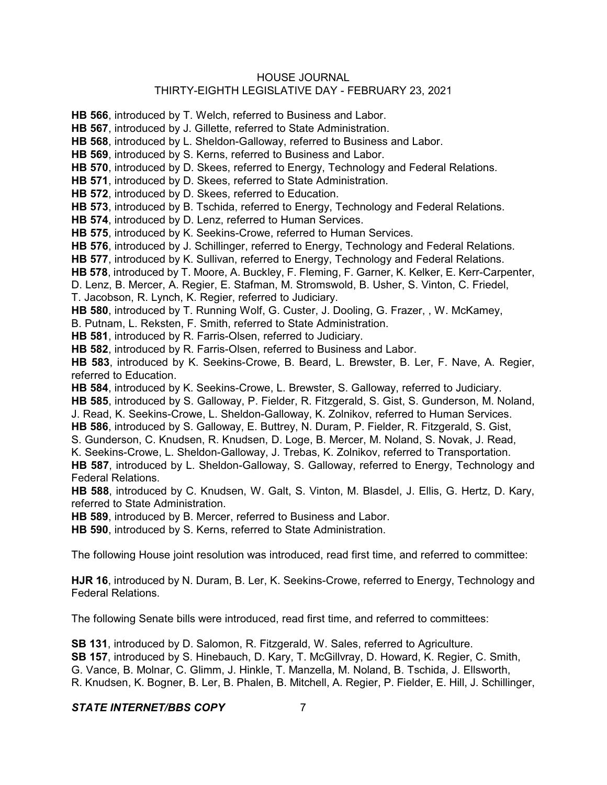### HOUSE JOURNAL

# THIRTY-EIGHTH LEGISLATIVE DAY - FEBRUARY 23, 2021

**HB 566**, introduced by T. Welch, referred to Business and Labor. **HB 567**, introduced by J. Gillette, referred to State Administration. **HB 568**, introduced by L. Sheldon-Galloway, referred to Business and Labor. **HB 569**, introduced by S. Kerns, referred to Business and Labor. **HB 570**, introduced by D. Skees, referred to Energy, Technology and Federal Relations. **HB 571**, introduced by D. Skees, referred to State Administration. **HB 572**, introduced by D. Skees, referred to Education. **HB 573**, introduced by B. Tschida, referred to Energy, Technology and Federal Relations. **HB 574**, introduced by D. Lenz, referred to Human Services. **HB 575**, introduced by K. Seekins-Crowe, referred to Human Services. **HB 576**, introduced by J. Schillinger, referred to Energy, Technology and Federal Relations. **HB 577**, introduced by K. Sullivan, referred to Energy, Technology and Federal Relations. **HB 578**, introduced by T. Moore, A. Buckley, F. Fleming, F. Garner, K. Kelker, E. Kerr-Carpenter, D. Lenz, B. Mercer, A. Regier, E. Stafman, M. Stromswold, B. Usher, S. Vinton, C. Friedel, T. Jacobson, R. Lynch, K. Regier, referred to Judiciary. **HB 580**, introduced by T. Running Wolf, G. Custer, J. Dooling, G. Frazer, , W. McKamey, B. Putnam, L. Reksten, F. Smith, referred to State Administration. **HB 581**, introduced by R. Farris-Olsen, referred to Judiciary. **HB 582**, introduced by R. Farris-Olsen, referred to Business and Labor. **HB 583**, introduced by K. Seekins-Crowe, B. Beard, L. Brewster, B. Ler, F. Nave, A. Regier, referred to Education. **HB 584**, introduced by K. Seekins-Crowe, L. Brewster, S. Galloway, referred to Judiciary. **HB 585**, introduced by S. Galloway, P. Fielder, R. Fitzgerald, S. Gist, S. Gunderson, M. Noland, J. Read, K. Seekins-Crowe, L. Sheldon-Galloway, K. Zolnikov, referred to Human Services. **HB 586**, introduced by S. Galloway, E. Buttrey, N. Duram, P. Fielder, R. Fitzgerald, S. Gist, S. Gunderson, C. Knudsen, R. Knudsen, D. Loge, B. Mercer, M. Noland, S. Novak, J. Read, K. Seekins-Crowe, L. Sheldon-Galloway, J. Trebas, K. Zolnikov, referred to Transportation. **HB 587**, introduced by L. Sheldon-Galloway, S. Galloway, referred to Energy, Technology and Federal Relations. **HB 588**, introduced by C. Knudsen, W. Galt, S. Vinton, M. Blasdel, J. Ellis, G. Hertz, D. Kary, referred to State Administration. **HB 589**, introduced by B. Mercer, referred to Business and Labor. **HB 590**, introduced by S. Kerns, referred to State Administration. The following House joint resolution was introduced, read first time, and referred to committee:

**HJR 16**, introduced by N. Duram, B. Ler, K. Seekins-Crowe, referred to Energy, Technology and Federal Relations.

The following Senate bills were introduced, read first time, and referred to committees:

**SB 131**, introduced by D. Salomon, R. Fitzgerald, W. Sales, referred to Agriculture. **SB 157**, introduced by S. Hinebauch, D. Kary, T. McGillvray, D. Howard, K. Regier, C. Smith, G. Vance, B. Molnar, C. Glimm, J. Hinkle, T. Manzella, M. Noland, B. Tschida, J. Ellsworth, R. Knudsen, K. Bogner, B. Ler, B. Phalen, B. Mitchell, A. Regier, P. Fielder, E. Hill, J. Schillinger,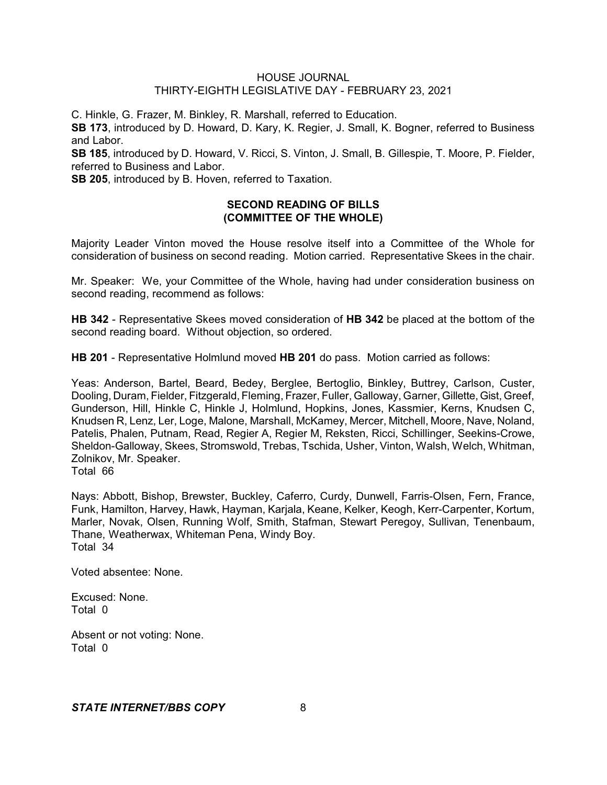C. Hinkle, G. Frazer, M. Binkley, R. Marshall, referred to Education.

**SB 173**, introduced by D. Howard, D. Kary, K. Regier, J. Small, K. Bogner, referred to Business and Labor.

**SB 185**, introduced by D. Howard, V. Ricci, S. Vinton, J. Small, B. Gillespie, T. Moore, P. Fielder, referred to Business and Labor.

**SB 205**, introduced by B. Hoven, referred to Taxation.

### **SECOND READING OF BILLS (COMMITTEE OF THE WHOLE)**

Majority Leader Vinton moved the House resolve itself into a Committee of the Whole for consideration of business on second reading. Motion carried. Representative Skees in the chair.

Mr. Speaker: We, your Committee of the Whole, having had under consideration business on second reading, recommend as follows:

**HB 342** - Representative Skees moved consideration of **HB 342** be placed at the bottom of the second reading board. Without objection, so ordered.

**HB 201** - Representative Holmlund moved **HB 201** do pass. Motion carried as follows:

Yeas: Anderson, Bartel, Beard, Bedey, Berglee, Bertoglio, Binkley, Buttrey, Carlson, Custer, Dooling, Duram, Fielder, Fitzgerald, Fleming, Frazer, Fuller, Galloway, Garner, Gillette, Gist, Greef, Gunderson, Hill, Hinkle C, Hinkle J, Holmlund, Hopkins, Jones, Kassmier, Kerns, Knudsen C, Knudsen R, Lenz, Ler, Loge, Malone, Marshall, McKamey, Mercer, Mitchell, Moore, Nave, Noland, Patelis, Phalen, Putnam, Read, Regier A, Regier M, Reksten, Ricci, Schillinger, Seekins-Crowe, Sheldon-Galloway, Skees, Stromswold, Trebas, Tschida, Usher, Vinton, Walsh, Welch, Whitman, Zolnikov, Mr. Speaker.

Total 66

Nays: Abbott, Bishop, Brewster, Buckley, Caferro, Curdy, Dunwell, Farris-Olsen, Fern, France, Funk, Hamilton, Harvey, Hawk, Hayman, Karjala, Keane, Kelker, Keogh, Kerr-Carpenter, Kortum, Marler, Novak, Olsen, Running Wolf, Smith, Stafman, Stewart Peregoy, Sullivan, Tenenbaum, Thane, Weatherwax, Whiteman Pena, Windy Boy. Total 34

Voted absentee: None.

Excused: None. Total 0

Absent or not voting: None. Total 0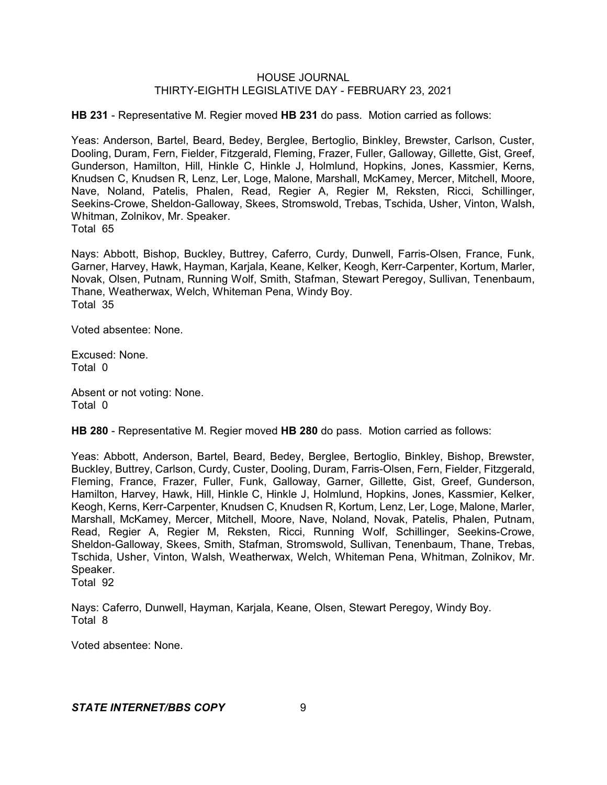**HB 231** - Representative M. Regier moved **HB 231** do pass. Motion carried as follows:

Yeas: Anderson, Bartel, Beard, Bedey, Berglee, Bertoglio, Binkley, Brewster, Carlson, Custer, Dooling, Duram, Fern, Fielder, Fitzgerald, Fleming, Frazer, Fuller, Galloway, Gillette, Gist, Greef, Gunderson, Hamilton, Hill, Hinkle C, Hinkle J, Holmlund, Hopkins, Jones, Kassmier, Kerns, Knudsen C, Knudsen R, Lenz, Ler, Loge, Malone, Marshall, McKamey, Mercer, Mitchell, Moore, Nave, Noland, Patelis, Phalen, Read, Regier A, Regier M, Reksten, Ricci, Schillinger, Seekins-Crowe, Sheldon-Galloway, Skees, Stromswold, Trebas, Tschida, Usher, Vinton, Walsh, Whitman, Zolnikov, Mr. Speaker. Total 65

Nays: Abbott, Bishop, Buckley, Buttrey, Caferro, Curdy, Dunwell, Farris-Olsen, France, Funk, Garner, Harvey, Hawk, Hayman, Karjala, Keane, Kelker, Keogh, Kerr-Carpenter, Kortum, Marler, Novak, Olsen, Putnam, Running Wolf, Smith, Stafman, Stewart Peregoy, Sullivan, Tenenbaum, Thane, Weatherwax, Welch, Whiteman Pena, Windy Boy. Total 35

Voted absentee: None.

Excused: None. Total 0

Absent or not voting: None. Total 0

**HB 280** - Representative M. Regier moved **HB 280** do pass. Motion carried as follows:

Yeas: Abbott, Anderson, Bartel, Beard, Bedey, Berglee, Bertoglio, Binkley, Bishop, Brewster, Buckley, Buttrey, Carlson, Curdy, Custer, Dooling, Duram, Farris-Olsen, Fern, Fielder, Fitzgerald, Fleming, France, Frazer, Fuller, Funk, Galloway, Garner, Gillette, Gist, Greef, Gunderson, Hamilton, Harvey, Hawk, Hill, Hinkle C, Hinkle J, Holmlund, Hopkins, Jones, Kassmier, Kelker, Keogh, Kerns, Kerr-Carpenter, Knudsen C, Knudsen R, Kortum, Lenz, Ler, Loge, Malone, Marler, Marshall, McKamey, Mercer, Mitchell, Moore, Nave, Noland, Novak, Patelis, Phalen, Putnam, Read, Regier A, Regier M, Reksten, Ricci, Running Wolf, Schillinger, Seekins-Crowe, Sheldon-Galloway, Skees, Smith, Stafman, Stromswold, Sullivan, Tenenbaum, Thane, Trebas, Tschida, Usher, Vinton, Walsh, Weatherwax, Welch, Whiteman Pena, Whitman, Zolnikov, Mr. Speaker. Total 92

Nays: Caferro, Dunwell, Hayman, Karjala, Keane, Olsen, Stewart Peregoy, Windy Boy. Total 8

Voted absentee: None.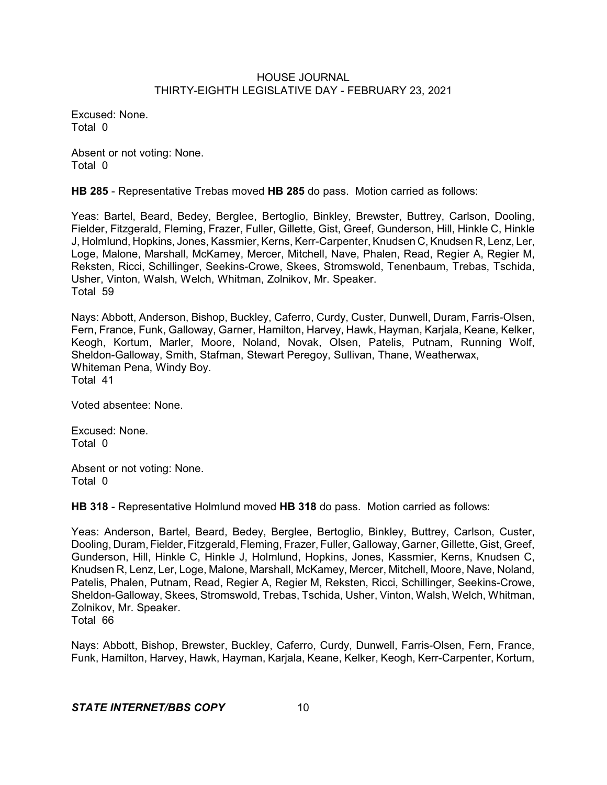Excused: None. Total 0

Absent or not voting: None. Total 0

**HB 285** - Representative Trebas moved **HB 285** do pass. Motion carried as follows:

Yeas: Bartel, Beard, Bedey, Berglee, Bertoglio, Binkley, Brewster, Buttrey, Carlson, Dooling, Fielder, Fitzgerald, Fleming, Frazer, Fuller, Gillette, Gist, Greef, Gunderson, Hill, Hinkle C, Hinkle J, Holmlund, Hopkins, Jones, Kassmier, Kerns, Kerr-Carpenter, Knudsen C, Knudsen R, Lenz, Ler, Loge, Malone, Marshall, McKamey, Mercer, Mitchell, Nave, Phalen, Read, Regier A, Regier M, Reksten, Ricci, Schillinger, Seekins-Crowe, Skees, Stromswold, Tenenbaum, Trebas, Tschida, Usher, Vinton, Walsh, Welch, Whitman, Zolnikov, Mr. Speaker. Total 59

Nays: Abbott, Anderson, Bishop, Buckley, Caferro, Curdy, Custer, Dunwell, Duram, Farris-Olsen, Fern, France, Funk, Galloway, Garner, Hamilton, Harvey, Hawk, Hayman, Karjala, Keane, Kelker, Keogh, Kortum, Marler, Moore, Noland, Novak, Olsen, Patelis, Putnam, Running Wolf, Sheldon-Galloway, Smith, Stafman, Stewart Peregoy, Sullivan, Thane, Weatherwax, Whiteman Pena, Windy Boy. Total 41

Voted absentee: None.

Excused: None. Total 0

Absent or not voting: None. Total 0

**HB 318** - Representative Holmlund moved **HB 318** do pass. Motion carried as follows:

Yeas: Anderson, Bartel, Beard, Bedey, Berglee, Bertoglio, Binkley, Buttrey, Carlson, Custer, Dooling, Duram, Fielder, Fitzgerald, Fleming, Frazer, Fuller, Galloway, Garner, Gillette, Gist, Greef, Gunderson, Hill, Hinkle C, Hinkle J, Holmlund, Hopkins, Jones, Kassmier, Kerns, Knudsen C, Knudsen R, Lenz, Ler, Loge, Malone, Marshall, McKamey, Mercer, Mitchell, Moore, Nave, Noland, Patelis, Phalen, Putnam, Read, Regier A, Regier M, Reksten, Ricci, Schillinger, Seekins-Crowe, Sheldon-Galloway, Skees, Stromswold, Trebas, Tschida, Usher, Vinton, Walsh, Welch, Whitman, Zolnikov, Mr. Speaker. Total 66

Nays: Abbott, Bishop, Brewster, Buckley, Caferro, Curdy, Dunwell, Farris-Olsen, Fern, France, Funk, Hamilton, Harvey, Hawk, Hayman, Karjala, Keane, Kelker, Keogh, Kerr-Carpenter, Kortum,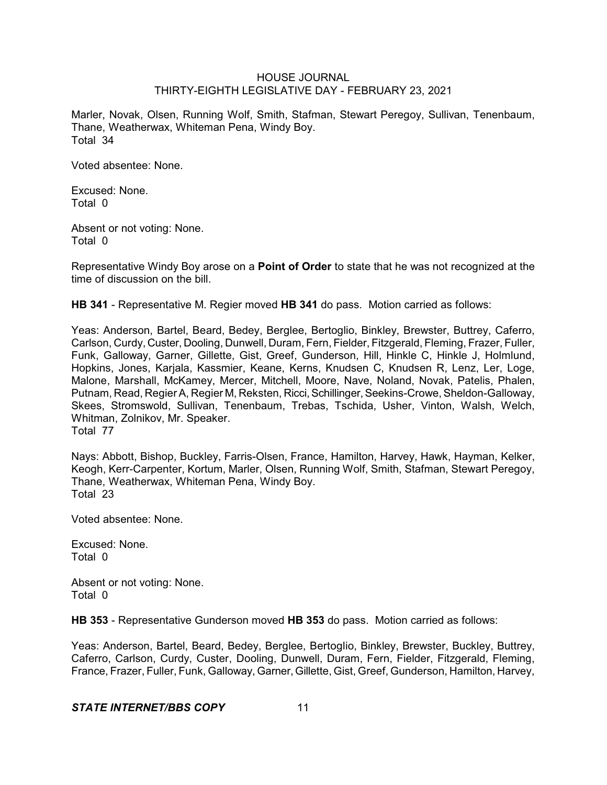Marler, Novak, Olsen, Running Wolf, Smith, Stafman, Stewart Peregoy, Sullivan, Tenenbaum, Thane, Weatherwax, Whiteman Pena, Windy Boy. Total 34

Voted absentee: None.

Excused: None. Total 0

Absent or not voting: None. Total 0

Representative Windy Boy arose on a **Point of Order** to state that he was not recognized at the time of discussion on the bill.

**HB 341** - Representative M. Regier moved **HB 341** do pass. Motion carried as follows:

Yeas: Anderson, Bartel, Beard, Bedey, Berglee, Bertoglio, Binkley, Brewster, Buttrey, Caferro, Carlson, Curdy, Custer, Dooling, Dunwell, Duram, Fern, Fielder, Fitzgerald, Fleming, Frazer, Fuller, Funk, Galloway, Garner, Gillette, Gist, Greef, Gunderson, Hill, Hinkle C, Hinkle J, Holmlund, Hopkins, Jones, Karjala, Kassmier, Keane, Kerns, Knudsen C, Knudsen R, Lenz, Ler, Loge, Malone, Marshall, McKamey, Mercer, Mitchell, Moore, Nave, Noland, Novak, Patelis, Phalen, Putnam, Read, Regier A, Regier M, Reksten, Ricci, Schillinger, Seekins-Crowe, Sheldon-Galloway, Skees, Stromswold, Sullivan, Tenenbaum, Trebas, Tschida, Usher, Vinton, Walsh, Welch, Whitman, Zolnikov, Mr. Speaker. Total 77

Nays: Abbott, Bishop, Buckley, Farris-Olsen, France, Hamilton, Harvey, Hawk, Hayman, Kelker, Keogh, Kerr-Carpenter, Kortum, Marler, Olsen, Running Wolf, Smith, Stafman, Stewart Peregoy, Thane, Weatherwax, Whiteman Pena, Windy Boy. Total 23

Voted absentee: None.

Excused: None. Total 0

Absent or not voting: None. Total 0

**HB 353** - Representative Gunderson moved **HB 353** do pass. Motion carried as follows:

Yeas: Anderson, Bartel, Beard, Bedey, Berglee, Bertoglio, Binkley, Brewster, Buckley, Buttrey, Caferro, Carlson, Curdy, Custer, Dooling, Dunwell, Duram, Fern, Fielder, Fitzgerald, Fleming, France, Frazer, Fuller, Funk, Galloway, Garner, Gillette, Gist, Greef, Gunderson, Hamilton, Harvey,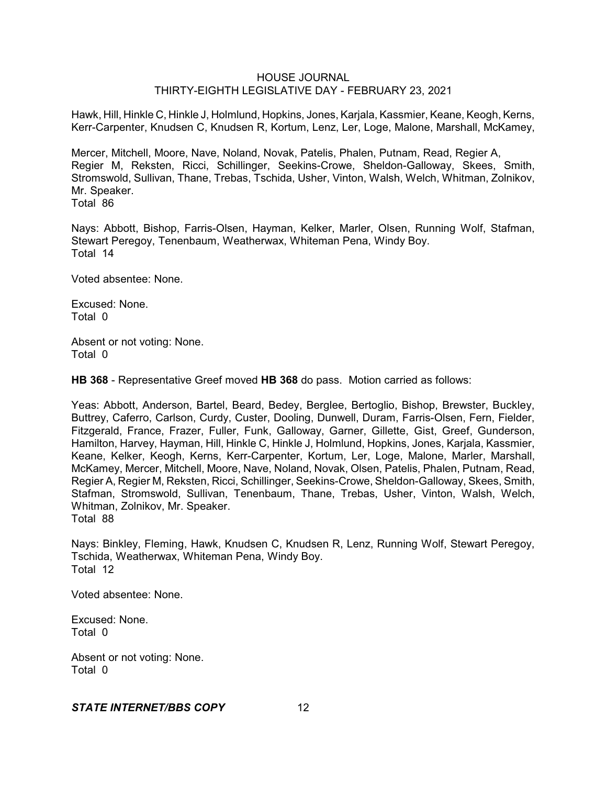Hawk, Hill, Hinkle C, Hinkle J, Holmlund, Hopkins, Jones, Karjala, Kassmier, Keane, Keogh, Kerns, Kerr-Carpenter, Knudsen C, Knudsen R, Kortum, Lenz, Ler, Loge, Malone, Marshall, McKamey,

Mercer, Mitchell, Moore, Nave, Noland, Novak, Patelis, Phalen, Putnam, Read, Regier A, Regier M, Reksten, Ricci, Schillinger, Seekins-Crowe, Sheldon-Galloway, Skees, Smith, Stromswold, Sullivan, Thane, Trebas, Tschida, Usher, Vinton, Walsh, Welch, Whitman, Zolnikov, Mr. Speaker.

Total 86

Nays: Abbott, Bishop, Farris-Olsen, Hayman, Kelker, Marler, Olsen, Running Wolf, Stafman, Stewart Peregoy, Tenenbaum, Weatherwax, Whiteman Pena, Windy Boy. Total 14

Voted absentee: None.

Excused: None. Total 0

Absent or not voting: None. Total 0

**HB 368** - Representative Greef moved **HB 368** do pass. Motion carried as follows:

Yeas: Abbott, Anderson, Bartel, Beard, Bedey, Berglee, Bertoglio, Bishop, Brewster, Buckley, Buttrey, Caferro, Carlson, Curdy, Custer, Dooling, Dunwell, Duram, Farris-Olsen, Fern, Fielder, Fitzgerald, France, Frazer, Fuller, Funk, Galloway, Garner, Gillette, Gist, Greef, Gunderson, Hamilton, Harvey, Hayman, Hill, Hinkle C, Hinkle J, Holmlund, Hopkins, Jones, Karjala, Kassmier, Keane, Kelker, Keogh, Kerns, Kerr-Carpenter, Kortum, Ler, Loge, Malone, Marler, Marshall, McKamey, Mercer, Mitchell, Moore, Nave, Noland, Novak, Olsen, Patelis, Phalen, Putnam, Read, Regier A, Regier M, Reksten, Ricci, Schillinger, Seekins-Crowe, Sheldon-Galloway, Skees, Smith, Stafman, Stromswold, Sullivan, Tenenbaum, Thane, Trebas, Usher, Vinton, Walsh, Welch, Whitman, Zolnikov, Mr. Speaker. Total 88

Nays: Binkley, Fleming, Hawk, Knudsen C, Knudsen R, Lenz, Running Wolf, Stewart Peregoy, Tschida, Weatherwax, Whiteman Pena, Windy Boy. Total 12

Voted absentee: None.

Excused: None. Total 0

Absent or not voting: None. Total 0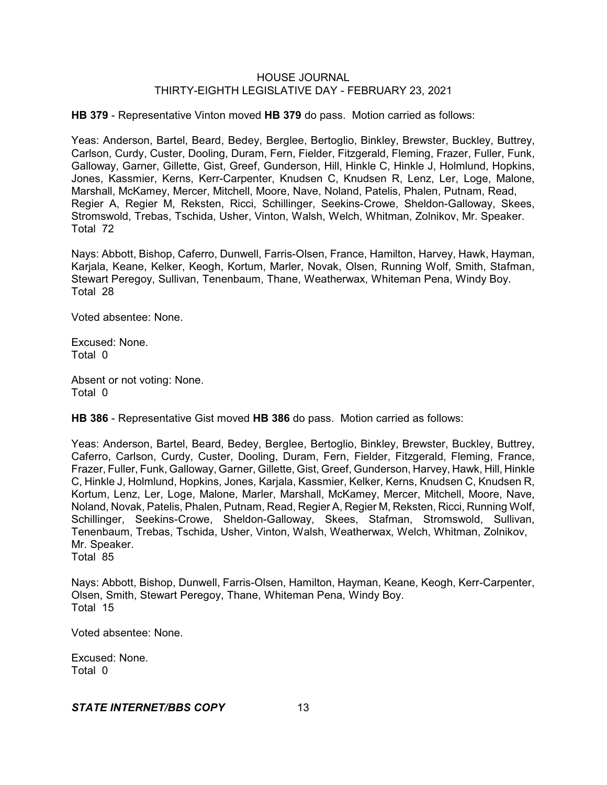**HB 379** - Representative Vinton moved **HB 379** do pass. Motion carried as follows:

Yeas: Anderson, Bartel, Beard, Bedey, Berglee, Bertoglio, Binkley, Brewster, Buckley, Buttrey, Carlson, Curdy, Custer, Dooling, Duram, Fern, Fielder, Fitzgerald, Fleming, Frazer, Fuller, Funk, Galloway, Garner, Gillette, Gist, Greef, Gunderson, Hill, Hinkle C, Hinkle J, Holmlund, Hopkins, Jones, Kassmier, Kerns, Kerr-Carpenter, Knudsen C, Knudsen R, Lenz, Ler, Loge, Malone, Marshall, McKamey, Mercer, Mitchell, Moore, Nave, Noland, Patelis, Phalen, Putnam, Read, Regier A, Regier M, Reksten, Ricci, Schillinger, Seekins-Crowe, Sheldon-Galloway, Skees, Stromswold, Trebas, Tschida, Usher, Vinton, Walsh, Welch, Whitman, Zolnikov, Mr. Speaker. Total 72

Nays: Abbott, Bishop, Caferro, Dunwell, Farris-Olsen, France, Hamilton, Harvey, Hawk, Hayman, Karjala, Keane, Kelker, Keogh, Kortum, Marler, Novak, Olsen, Running Wolf, Smith, Stafman, Stewart Peregoy, Sullivan, Tenenbaum, Thane, Weatherwax, Whiteman Pena, Windy Boy. Total 28

Voted absentee: None.

Excused: None. Total 0

Absent or not voting: None. Total 0

**HB 386** - Representative Gist moved **HB 386** do pass. Motion carried as follows:

Yeas: Anderson, Bartel, Beard, Bedey, Berglee, Bertoglio, Binkley, Brewster, Buckley, Buttrey, Caferro, Carlson, Curdy, Custer, Dooling, Duram, Fern, Fielder, Fitzgerald, Fleming, France, Frazer, Fuller, Funk, Galloway, Garner, Gillette, Gist, Greef, Gunderson, Harvey, Hawk, Hill, Hinkle C, Hinkle J, Holmlund, Hopkins, Jones, Karjala, Kassmier, Kelker, Kerns, Knudsen C, Knudsen R, Kortum, Lenz, Ler, Loge, Malone, Marler, Marshall, McKamey, Mercer, Mitchell, Moore, Nave, Noland, Novak, Patelis, Phalen, Putnam, Read, Regier A, Regier M, Reksten, Ricci, Running Wolf, Schillinger, Seekins-Crowe, Sheldon-Galloway, Skees, Stafman, Stromswold, Sullivan, Tenenbaum, Trebas, Tschida, Usher, Vinton, Walsh, Weatherwax, Welch, Whitman, Zolnikov, Mr. Speaker. Total 85

Nays: Abbott, Bishop, Dunwell, Farris-Olsen, Hamilton, Hayman, Keane, Keogh, Kerr-Carpenter, Olsen, Smith, Stewart Peregoy, Thane, Whiteman Pena, Windy Boy. Total 15

Voted absentee: None.

Excused: None. Total 0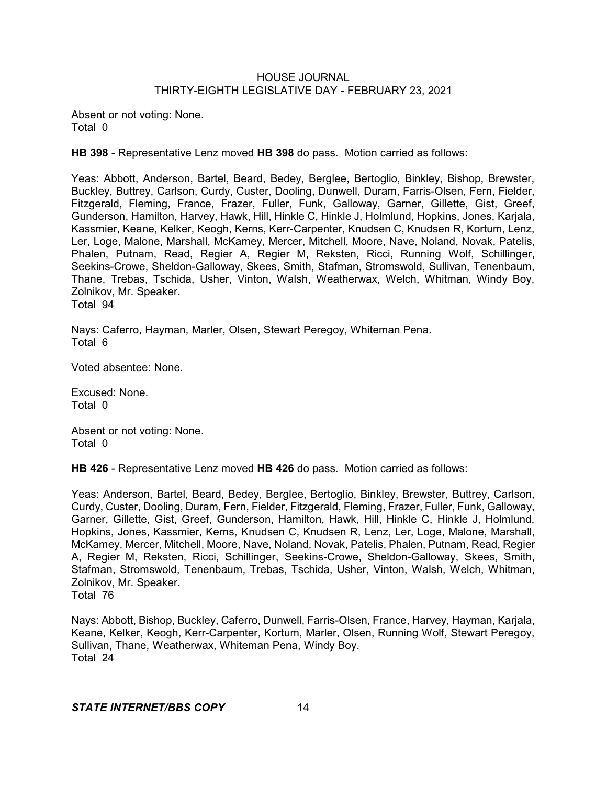Absent or not voting: None. Total 0

**HB 398** - Representative Lenz moved **HB 398** do pass. Motion carried as follows:

Yeas: Abbott, Anderson, Bartel, Beard, Bedey, Berglee, Bertoglio, Binkley, Bishop, Brewster, Buckley, Buttrey, Carlson, Curdy, Custer, Dooling, Dunwell, Duram, Farris-Olsen, Fern, Fielder, Fitzgerald, Fleming, France, Frazer, Fuller, Funk, Galloway, Garner, Gillette, Gist, Greef, Gunderson, Hamilton, Harvey, Hawk, Hill, Hinkle C, Hinkle J, Holmlund, Hopkins, Jones, Karjala, Kassmier, Keane, Kelker, Keogh, Kerns, Kerr-Carpenter, Knudsen C, Knudsen R, Kortum, Lenz, Ler, Loge, Malone, Marshall, McKamey, Mercer, Mitchell, Moore, Nave, Noland, Novak, Patelis, Phalen, Putnam, Read, Regier A, Regier M, Reksten, Ricci, Running Wolf, Schillinger, Seekins-Crowe, Sheldon-Galloway, Skees, Smith, Stafman, Stromswold, Sullivan, Tenenbaum, Thane, Trebas, Tschida, Usher, Vinton, Walsh, Weatherwax, Welch, Whitman, Windy Boy, Zolnikov, Mr. Speaker. Total 94

Nays: Caferro, Hayman, Marler, Olsen, Stewart Peregoy, Whiteman Pena. Total 6

Voted absentee: None.

Excused: None. Total 0

Absent or not voting: None. Total 0

**HB 426** - Representative Lenz moved **HB 426** do pass. Motion carried as follows:

Yeas: Anderson, Bartel, Beard, Bedey, Berglee, Bertoglio, Binkley, Brewster, Buttrey, Carlson, Curdy, Custer, Dooling, Duram, Fern, Fielder, Fitzgerald, Fleming, Frazer, Fuller, Funk, Galloway, Garner, Gillette, Gist, Greef, Gunderson, Hamilton, Hawk, Hill, Hinkle C, Hinkle J, Holmlund, Hopkins, Jones, Kassmier, Kerns, Knudsen C, Knudsen R, Lenz, Ler, Loge, Malone, Marshall, McKamey, Mercer, Mitchell, Moore, Nave, Noland, Novak, Patelis, Phalen, Putnam, Read, Regier A, Regier M, Reksten, Ricci, Schillinger, Seekins-Crowe, Sheldon-Galloway, Skees, Smith, Stafman, Stromswold, Tenenbaum, Trebas, Tschida, Usher, Vinton, Walsh, Welch, Whitman, Zolnikov, Mr. Speaker.

Total 76

Nays: Abbott, Bishop, Buckley, Caferro, Dunwell, Farris-Olsen, France, Harvey, Hayman, Karjala, Keane, Kelker, Keogh, Kerr-Carpenter, Kortum, Marler, Olsen, Running Wolf, Stewart Peregoy, Sullivan, Thane, Weatherwax, Whiteman Pena, Windy Boy. Total 24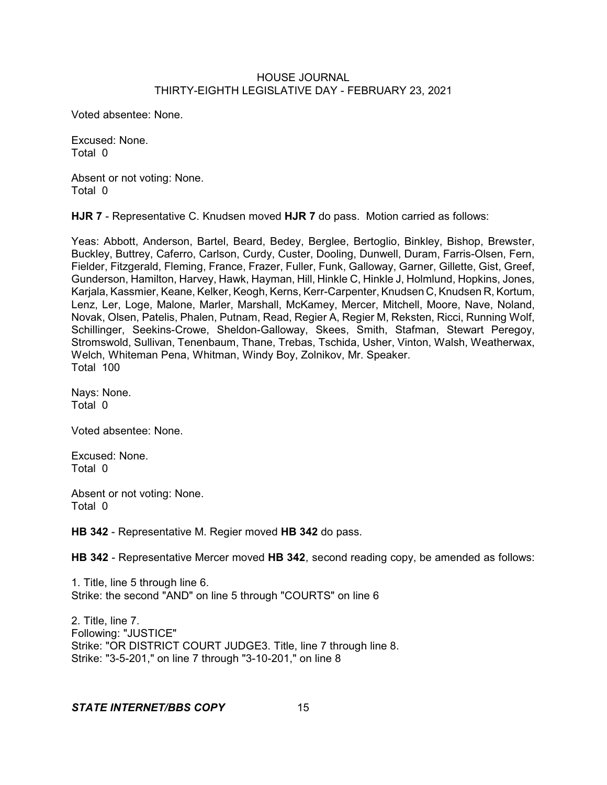Voted absentee: None.

Excused: None. Total 0

Absent or not voting: None. Total 0

**HJR 7** - Representative C. Knudsen moved **HJR 7** do pass. Motion carried as follows:

Yeas: Abbott, Anderson, Bartel, Beard, Bedey, Berglee, Bertoglio, Binkley, Bishop, Brewster, Buckley, Buttrey, Caferro, Carlson, Curdy, Custer, Dooling, Dunwell, Duram, Farris-Olsen, Fern, Fielder, Fitzgerald, Fleming, France, Frazer, Fuller, Funk, Galloway, Garner, Gillette, Gist, Greef, Gunderson, Hamilton, Harvey, Hawk, Hayman, Hill, Hinkle C, Hinkle J, Holmlund, Hopkins, Jones, Karjala, Kassmier, Keane, Kelker, Keogh, Kerns, Kerr-Carpenter, Knudsen C, Knudsen R, Kortum, Lenz, Ler, Loge, Malone, Marler, Marshall, McKamey, Mercer, Mitchell, Moore, Nave, Noland, Novak, Olsen, Patelis, Phalen, Putnam, Read, Regier A, Regier M, Reksten, Ricci, Running Wolf, Schillinger, Seekins-Crowe, Sheldon-Galloway, Skees, Smith, Stafman, Stewart Peregoy, Stromswold, Sullivan, Tenenbaum, Thane, Trebas, Tschida, Usher, Vinton, Walsh, Weatherwax, Welch, Whiteman Pena, Whitman, Windy Boy, Zolnikov, Mr. Speaker. Total 100

Nays: None. Total 0

Voted absentee: None.

Excused: None. Total 0

Absent or not voting: None. Total 0

**HB 342** - Representative M. Regier moved **HB 342** do pass.

**HB 342** - Representative Mercer moved **HB 342**, second reading copy, be amended as follows:

1. Title, line 5 through line 6. Strike: the second "AND" on line 5 through "COURTS" on line 6

2. Title, line 7. Following: "JUSTICE" Strike: "OR DISTRICT COURT JUDGE3. Title, line 7 through line 8. Strike: "3-5-201," on line 7 through "3-10-201," on line 8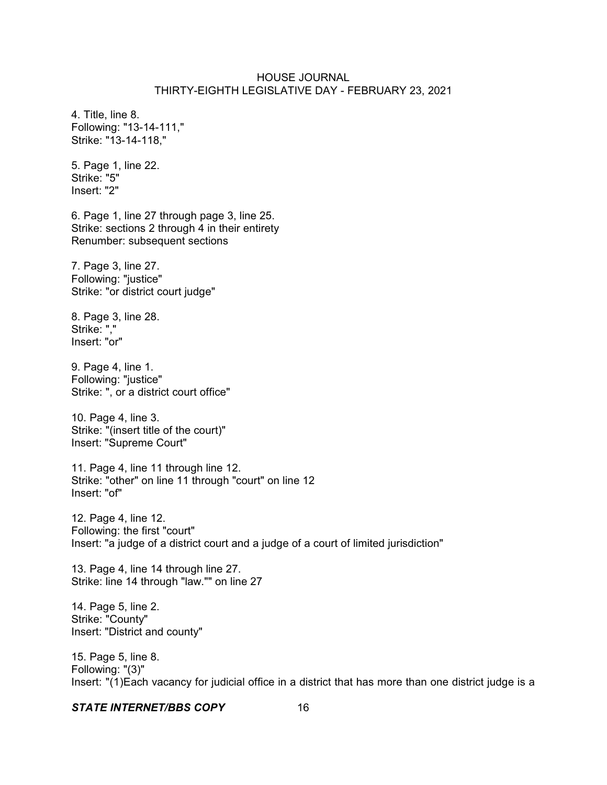4. Title, line 8. Following: "13-14-111," Strike: "13-14-118,"

5. Page 1, line 22. Strike: "5" Insert: "2"

6. Page 1, line 27 through page 3, line 25. Strike: sections 2 through 4 in their entirety Renumber: subsequent sections

7. Page 3, line 27. Following: "justice" Strike: "or district court judge"

8. Page 3, line 28. Strike: "," Insert: "or"

9. Page 4, line 1. Following: "justice" Strike: ", or a district court office"

10. Page 4, line 3. Strike: "(insert title of the court)" Insert: "Supreme Court"

11. Page 4, line 11 through line 12. Strike: "other" on line 11 through "court" on line 12 Insert: "of"

12. Page 4, line 12. Following: the first "court" Insert: "a judge of a district court and a judge of a court of limited jurisdiction"

13. Page 4, line 14 through line 27. Strike: line 14 through "law."" on line 27

14. Page 5, line 2. Strike: "County" Insert: "District and county"

15. Page 5, line 8. Following: "(3)" Insert: "(1)Each vacancy for judicial office in a district that has more than one district judge is a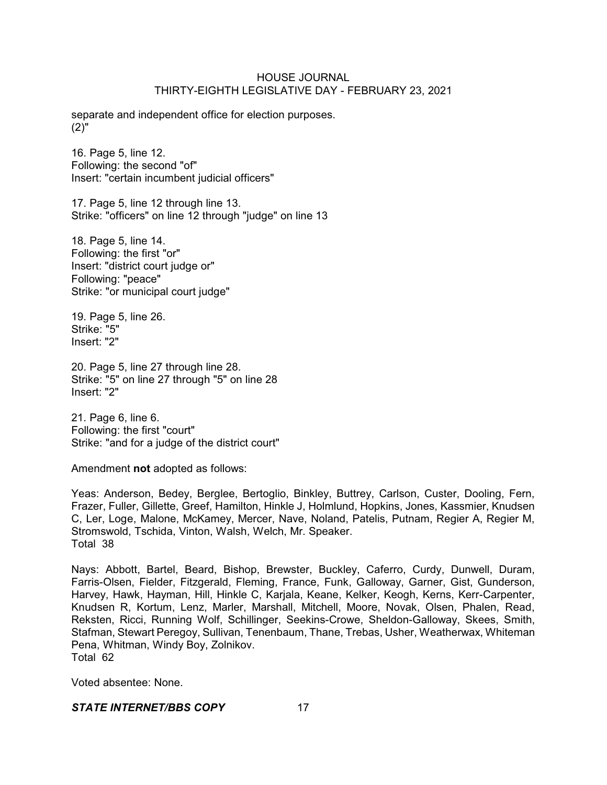separate and independent office for election purposes. (2)"

16. Page 5, line 12. Following: the second "of" Insert: "certain incumbent judicial officers"

17. Page 5, line 12 through line 13. Strike: "officers" on line 12 through "judge" on line 13

18. Page 5, line 14. Following: the first "or" Insert: "district court judge or" Following: "peace" Strike: "or municipal court judge"

19. Page 5, line 26. Strike: "5" Insert: "2"

20. Page 5, line 27 through line 28. Strike: "5" on line 27 through "5" on line 28 Insert: "2"

21. Page 6, line 6. Following: the first "court" Strike: "and for a judge of the district court"

Amendment **not** adopted as follows:

Yeas: Anderson, Bedey, Berglee, Bertoglio, Binkley, Buttrey, Carlson, Custer, Dooling, Fern, Frazer, Fuller, Gillette, Greef, Hamilton, Hinkle J, Holmlund, Hopkins, Jones, Kassmier, Knudsen C, Ler, Loge, Malone, McKamey, Mercer, Nave, Noland, Patelis, Putnam, Regier A, Regier M, Stromswold, Tschida, Vinton, Walsh, Welch, Mr. Speaker. Total 38

Nays: Abbott, Bartel, Beard, Bishop, Brewster, Buckley, Caferro, Curdy, Dunwell, Duram, Farris-Olsen, Fielder, Fitzgerald, Fleming, France, Funk, Galloway, Garner, Gist, Gunderson, Harvey, Hawk, Hayman, Hill, Hinkle C, Karjala, Keane, Kelker, Keogh, Kerns, Kerr-Carpenter, Knudsen R, Kortum, Lenz, Marler, Marshall, Mitchell, Moore, Novak, Olsen, Phalen, Read, Reksten, Ricci, Running Wolf, Schillinger, Seekins-Crowe, Sheldon-Galloway, Skees, Smith, Stafman, Stewart Peregoy, Sullivan, Tenenbaum, Thane, Trebas, Usher, Weatherwax, Whiteman Pena, Whitman, Windy Boy, Zolnikov. Total 62

Voted absentee: None.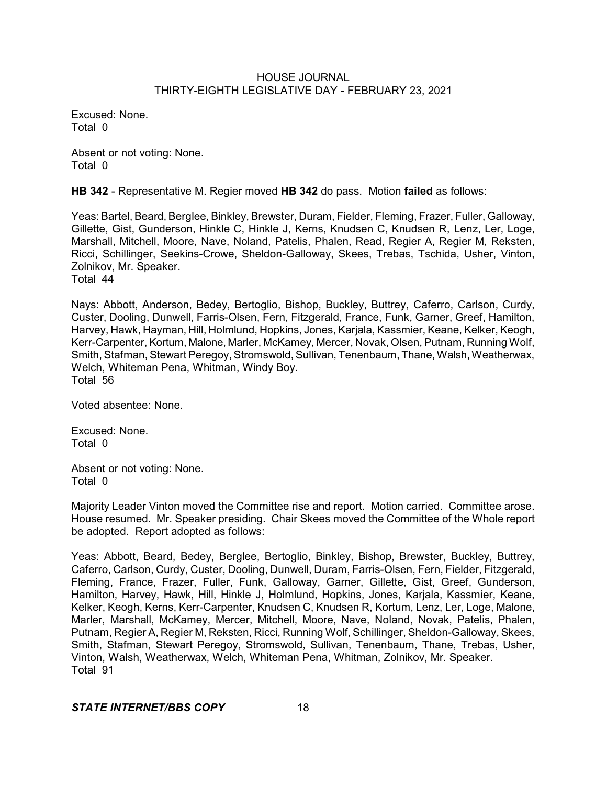Excused: None. Total 0

Absent or not voting: None. Total 0

**HB 342** - Representative M. Regier moved **HB 342** do pass. Motion **failed** as follows:

Yeas: Bartel, Beard, Berglee, Binkley, Brewster, Duram, Fielder, Fleming, Frazer, Fuller, Galloway, Gillette, Gist, Gunderson, Hinkle C, Hinkle J, Kerns, Knudsen C, Knudsen R, Lenz, Ler, Loge, Marshall, Mitchell, Moore, Nave, Noland, Patelis, Phalen, Read, Regier A, Regier M, Reksten, Ricci, Schillinger, Seekins-Crowe, Sheldon-Galloway, Skees, Trebas, Tschida, Usher, Vinton, Zolnikov, Mr. Speaker. Total 44

Nays: Abbott, Anderson, Bedey, Bertoglio, Bishop, Buckley, Buttrey, Caferro, Carlson, Curdy, Custer, Dooling, Dunwell, Farris-Olsen, Fern, Fitzgerald, France, Funk, Garner, Greef, Hamilton, Harvey, Hawk, Hayman, Hill, Holmlund, Hopkins, Jones, Karjala, Kassmier, Keane, Kelker, Keogh, Kerr-Carpenter, Kortum, Malone, Marler, McKamey, Mercer, Novak, Olsen, Putnam, Running Wolf, Smith, Stafman, Stewart Peregoy, Stromswold, Sullivan, Tenenbaum, Thane, Walsh, Weatherwax, Welch, Whiteman Pena, Whitman, Windy Boy. Total 56

Voted absentee: None.

Excused: None. Total 0

Absent or not voting: None. Total 0

Majority Leader Vinton moved the Committee rise and report. Motion carried. Committee arose. House resumed. Mr. Speaker presiding. Chair Skees moved the Committee of the Whole report be adopted. Report adopted as follows:

Yeas: Abbott, Beard, Bedey, Berglee, Bertoglio, Binkley, Bishop, Brewster, Buckley, Buttrey, Caferro, Carlson, Curdy, Custer, Dooling, Dunwell, Duram, Farris-Olsen, Fern, Fielder, Fitzgerald, Fleming, France, Frazer, Fuller, Funk, Galloway, Garner, Gillette, Gist, Greef, Gunderson, Hamilton, Harvey, Hawk, Hill, Hinkle J, Holmlund, Hopkins, Jones, Karjala, Kassmier, Keane, Kelker, Keogh, Kerns, Kerr-Carpenter, Knudsen C, Knudsen R, Kortum, Lenz, Ler, Loge, Malone, Marler, Marshall, McKamey, Mercer, Mitchell, Moore, Nave, Noland, Novak, Patelis, Phalen, Putnam, Regier A, Regier M, Reksten, Ricci, Running Wolf, Schillinger, Sheldon-Galloway, Skees, Smith, Stafman, Stewart Peregoy, Stromswold, Sullivan, Tenenbaum, Thane, Trebas, Usher, Vinton, Walsh, Weatherwax, Welch, Whiteman Pena, Whitman, Zolnikov, Mr. Speaker. Total 91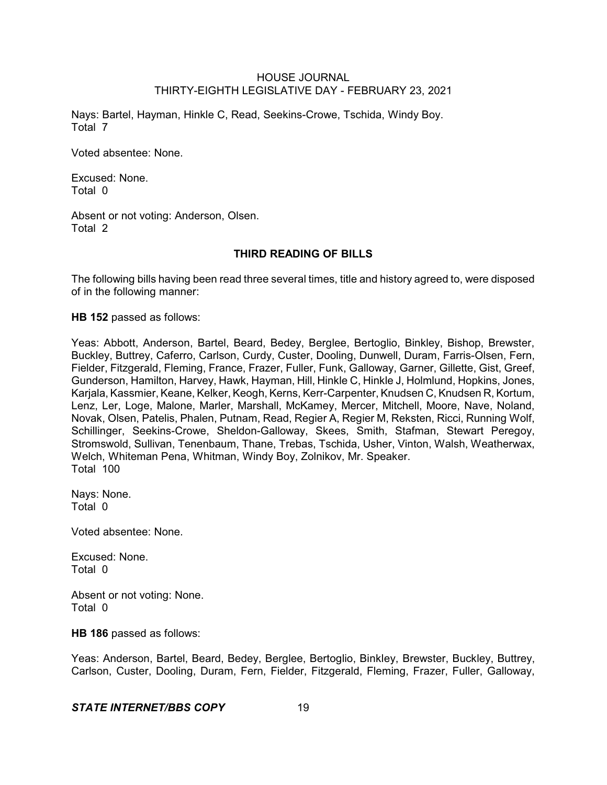Nays: Bartel, Hayman, Hinkle C, Read, Seekins-Crowe, Tschida, Windy Boy. Total 7

Voted absentee: None.

Excused: None. Total 0

Absent or not voting: Anderson, Olsen. Total 2

### **THIRD READING OF BILLS**

The following bills having been read three several times, title and history agreed to, were disposed of in the following manner:

**HB 152** passed as follows:

Yeas: Abbott, Anderson, Bartel, Beard, Bedey, Berglee, Bertoglio, Binkley, Bishop, Brewster, Buckley, Buttrey, Caferro, Carlson, Curdy, Custer, Dooling, Dunwell, Duram, Farris-Olsen, Fern, Fielder, Fitzgerald, Fleming, France, Frazer, Fuller, Funk, Galloway, Garner, Gillette, Gist, Greef, Gunderson, Hamilton, Harvey, Hawk, Hayman, Hill, Hinkle C, Hinkle J, Holmlund, Hopkins, Jones, Karjala, Kassmier, Keane, Kelker, Keogh, Kerns, Kerr-Carpenter, Knudsen C, Knudsen R, Kortum, Lenz, Ler, Loge, Malone, Marler, Marshall, McKamey, Mercer, Mitchell, Moore, Nave, Noland, Novak, Olsen, Patelis, Phalen, Putnam, Read, Regier A, Regier M, Reksten, Ricci, Running Wolf, Schillinger, Seekins-Crowe, Sheldon-Galloway, Skees, Smith, Stafman, Stewart Peregoy, Stromswold, Sullivan, Tenenbaum, Thane, Trebas, Tschida, Usher, Vinton, Walsh, Weatherwax, Welch, Whiteman Pena, Whitman, Windy Boy, Zolnikov, Mr. Speaker. Total 100

Nays: None. Total 0

Voted absentee: None.

Excused: None. Total 0

Absent or not voting: None. Total 0

**HB 186** passed as follows:

Yeas: Anderson, Bartel, Beard, Bedey, Berglee, Bertoglio, Binkley, Brewster, Buckley, Buttrey, Carlson, Custer, Dooling, Duram, Fern, Fielder, Fitzgerald, Fleming, Frazer, Fuller, Galloway,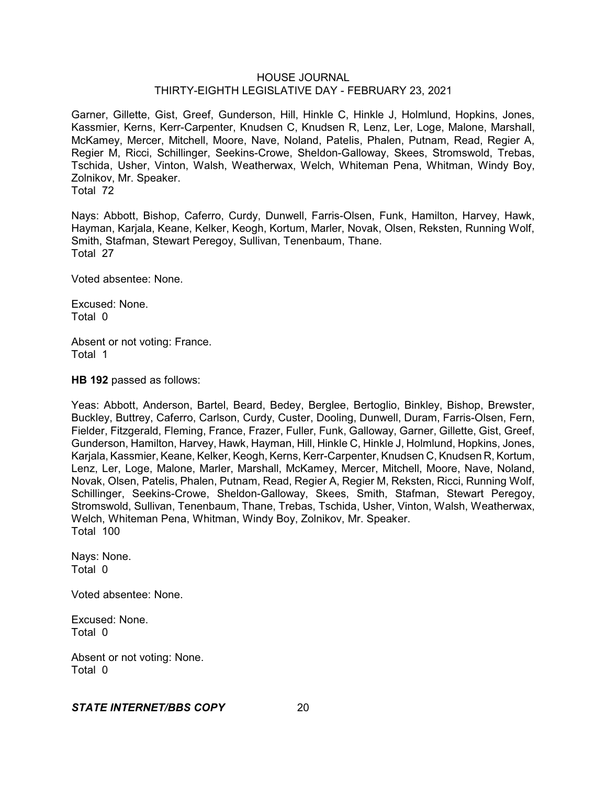Garner, Gillette, Gist, Greef, Gunderson, Hill, Hinkle C, Hinkle J, Holmlund, Hopkins, Jones, Kassmier, Kerns, Kerr-Carpenter, Knudsen C, Knudsen R, Lenz, Ler, Loge, Malone, Marshall, McKamey, Mercer, Mitchell, Moore, Nave, Noland, Patelis, Phalen, Putnam, Read, Regier A, Regier M, Ricci, Schillinger, Seekins-Crowe, Sheldon-Galloway, Skees, Stromswold, Trebas, Tschida, Usher, Vinton, Walsh, Weatherwax, Welch, Whiteman Pena, Whitman, Windy Boy, Zolnikov, Mr. Speaker. Total 72

Nays: Abbott, Bishop, Caferro, Curdy, Dunwell, Farris-Olsen, Funk, Hamilton, Harvey, Hawk, Hayman, Karjala, Keane, Kelker, Keogh, Kortum, Marler, Novak, Olsen, Reksten, Running Wolf, Smith, Stafman, Stewart Peregoy, Sullivan, Tenenbaum, Thane. Total 27

Voted absentee: None.

Excused: None. Total 0

Absent or not voting: France. Total 1

**HB 192** passed as follows:

Yeas: Abbott, Anderson, Bartel, Beard, Bedey, Berglee, Bertoglio, Binkley, Bishop, Brewster, Buckley, Buttrey, Caferro, Carlson, Curdy, Custer, Dooling, Dunwell, Duram, Farris-Olsen, Fern, Fielder, Fitzgerald, Fleming, France, Frazer, Fuller, Funk, Galloway, Garner, Gillette, Gist, Greef, Gunderson, Hamilton, Harvey, Hawk, Hayman, Hill, Hinkle C, Hinkle J, Holmlund, Hopkins, Jones, Karjala, Kassmier, Keane, Kelker, Keogh, Kerns, Kerr-Carpenter, Knudsen C, Knudsen R, Kortum, Lenz, Ler, Loge, Malone, Marler, Marshall, McKamey, Mercer, Mitchell, Moore, Nave, Noland, Novak, Olsen, Patelis, Phalen, Putnam, Read, Regier A, Regier M, Reksten, Ricci, Running Wolf, Schillinger, Seekins-Crowe, Sheldon-Galloway, Skees, Smith, Stafman, Stewart Peregoy, Stromswold, Sullivan, Tenenbaum, Thane, Trebas, Tschida, Usher, Vinton, Walsh, Weatherwax, Welch, Whiteman Pena, Whitman, Windy Boy, Zolnikov, Mr. Speaker. Total 100

Nays: None. Total 0

Voted absentee: None.

Excused: None. Total 0

Absent or not voting: None. Total 0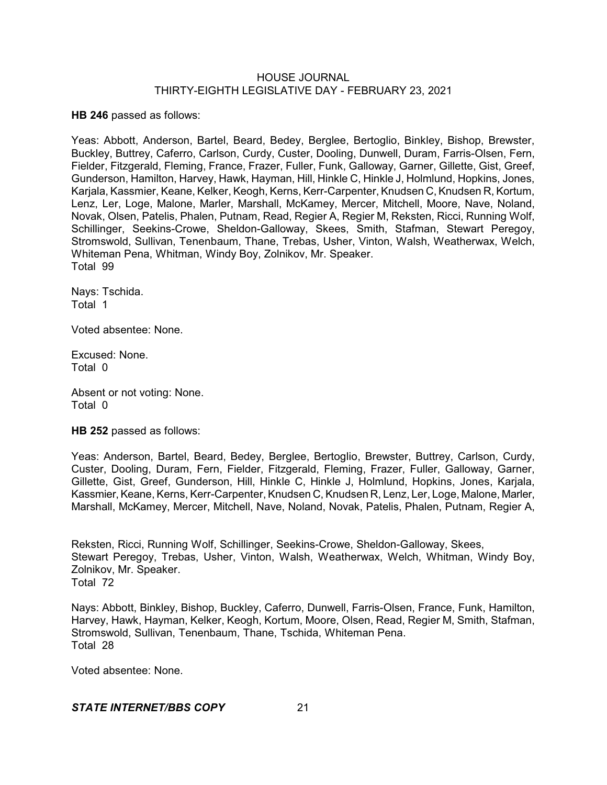**HB 246** passed as follows:

Yeas: Abbott, Anderson, Bartel, Beard, Bedey, Berglee, Bertoglio, Binkley, Bishop, Brewster, Buckley, Buttrey, Caferro, Carlson, Curdy, Custer, Dooling, Dunwell, Duram, Farris-Olsen, Fern, Fielder, Fitzgerald, Fleming, France, Frazer, Fuller, Funk, Galloway, Garner, Gillette, Gist, Greef, Gunderson, Hamilton, Harvey, Hawk, Hayman, Hill, Hinkle C, Hinkle J, Holmlund, Hopkins, Jones, Karjala, Kassmier, Keane, Kelker, Keogh, Kerns, Kerr-Carpenter, Knudsen C, Knudsen R, Kortum, Lenz, Ler, Loge, Malone, Marler, Marshall, McKamey, Mercer, Mitchell, Moore, Nave, Noland, Novak, Olsen, Patelis, Phalen, Putnam, Read, Regier A, Regier M, Reksten, Ricci, Running Wolf, Schillinger, Seekins-Crowe, Sheldon-Galloway, Skees, Smith, Stafman, Stewart Peregoy, Stromswold, Sullivan, Tenenbaum, Thane, Trebas, Usher, Vinton, Walsh, Weatherwax, Welch, Whiteman Pena, Whitman, Windy Boy, Zolnikov, Mr. Speaker. Total 99

Nays: Tschida. Total 1

Voted absentee: None.

Excused: None. Total 0

Absent or not voting: None. Total 0

**HB 252** passed as follows:

Yeas: Anderson, Bartel, Beard, Bedey, Berglee, Bertoglio, Brewster, Buttrey, Carlson, Curdy, Custer, Dooling, Duram, Fern, Fielder, Fitzgerald, Fleming, Frazer, Fuller, Galloway, Garner, Gillette, Gist, Greef, Gunderson, Hill, Hinkle C, Hinkle J, Holmlund, Hopkins, Jones, Karjala, Kassmier, Keane, Kerns, Kerr-Carpenter, Knudsen C, Knudsen R, Lenz, Ler, Loge, Malone, Marler, Marshall, McKamey, Mercer, Mitchell, Nave, Noland, Novak, Patelis, Phalen, Putnam, Regier A,

Reksten, Ricci, Running Wolf, Schillinger, Seekins-Crowe, Sheldon-Galloway, Skees, Stewart Peregoy, Trebas, Usher, Vinton, Walsh, Weatherwax, Welch, Whitman, Windy Boy, Zolnikov, Mr. Speaker. Total 72

Nays: Abbott, Binkley, Bishop, Buckley, Caferro, Dunwell, Farris-Olsen, France, Funk, Hamilton, Harvey, Hawk, Hayman, Kelker, Keogh, Kortum, Moore, Olsen, Read, Regier M, Smith, Stafman, Stromswold, Sullivan, Tenenbaum, Thane, Tschida, Whiteman Pena. Total 28

Voted absentee: None.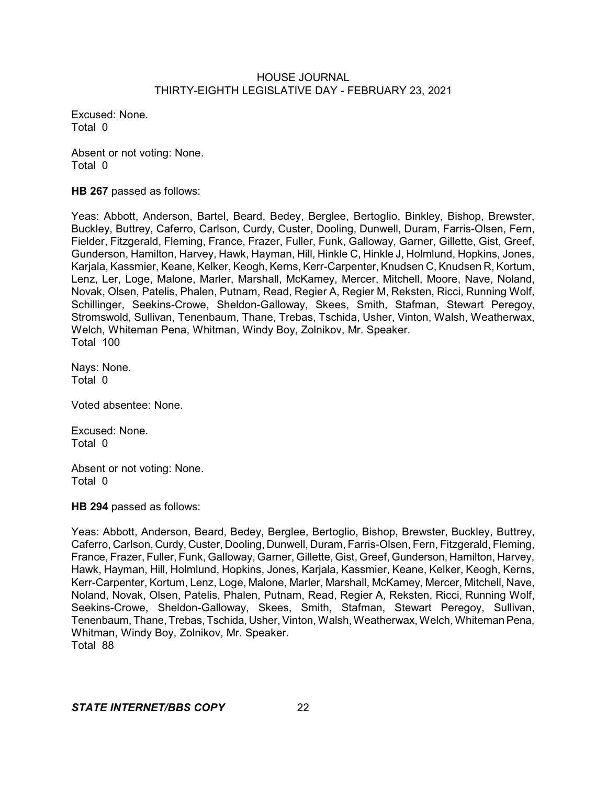Excused: None. Total 0

Absent or not voting: None. Total 0

**HB 267** passed as follows:

Yeas: Abbott, Anderson, Bartel, Beard, Bedey, Berglee, Bertoglio, Binkley, Bishop, Brewster, Buckley, Buttrey, Caferro, Carlson, Curdy, Custer, Dooling, Dunwell, Duram, Farris-Olsen, Fern, Fielder, Fitzgerald, Fleming, France, Frazer, Fuller, Funk, Galloway, Garner, Gillette, Gist, Greef, Gunderson, Hamilton, Harvey, Hawk, Hayman, Hill, Hinkle C, Hinkle J, Holmlund, Hopkins, Jones, Karjala, Kassmier, Keane, Kelker, Keogh, Kerns, Kerr-Carpenter, Knudsen C, Knudsen R, Kortum, Lenz, Ler, Loge, Malone, Marler, Marshall, McKamey, Mercer, Mitchell, Moore, Nave, Noland, Novak, Olsen, Patelis, Phalen, Putnam, Read, Regier A, Regier M, Reksten, Ricci, Running Wolf, Schillinger, Seekins-Crowe, Sheldon-Galloway, Skees, Smith, Stafman, Stewart Peregoy, Stromswold, Sullivan, Tenenbaum, Thane, Trebas, Tschida, Usher, Vinton, Walsh, Weatherwax, Welch, Whiteman Pena, Whitman, Windy Boy, Zolnikov, Mr. Speaker. Total 100

Nays: None. Total 0

Voted absentee: None.

Excused: None. Total 0

Absent or not voting: None. Total 0

**HB 294** passed as follows:

Yeas: Abbott, Anderson, Beard, Bedey, Berglee, Bertoglio, Bishop, Brewster, Buckley, Buttrey, Caferro, Carlson, Curdy, Custer, Dooling, Dunwell, Duram, Farris-Olsen, Fern, Fitzgerald, Fleming, France, Frazer, Fuller, Funk, Galloway, Garner, Gillette, Gist, Greef, Gunderson, Hamilton, Harvey, Hawk, Hayman, Hill, Holmlund, Hopkins, Jones, Karjala, Kassmier, Keane, Kelker, Keogh, Kerns, Kerr-Carpenter, Kortum, Lenz, Loge, Malone, Marler, Marshall, McKamey, Mercer, Mitchell, Nave, Noland, Novak, Olsen, Patelis, Phalen, Putnam, Read, Regier A, Reksten, Ricci, Running Wolf, Seekins-Crowe, Sheldon-Galloway, Skees, Smith, Stafman, Stewart Peregoy, Sullivan, Tenenbaum, Thane, Trebas, Tschida, Usher, Vinton, Walsh, Weatherwax, Welch, Whiteman Pena, Whitman, Windy Boy, Zolnikov, Mr. Speaker. Total 88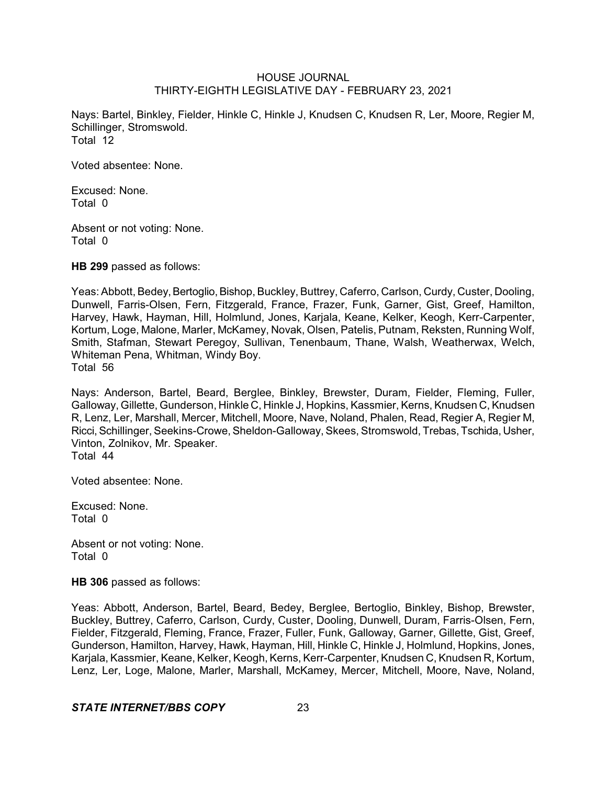Nays: Bartel, Binkley, Fielder, Hinkle C, Hinkle J, Knudsen C, Knudsen R, Ler, Moore, Regier M, Schillinger, Stromswold. Total 12

Voted absentee: None.

Excused: None. Total 0

Absent or not voting: None. Total 0

**HB 299** passed as follows:

Yeas: Abbott, Bedey, Bertoglio, Bishop, Buckley, Buttrey, Caferro, Carlson, Curdy, Custer, Dooling, Dunwell, Farris-Olsen, Fern, Fitzgerald, France, Frazer, Funk, Garner, Gist, Greef, Hamilton, Harvey, Hawk, Hayman, Hill, Holmlund, Jones, Karjala, Keane, Kelker, Keogh, Kerr-Carpenter, Kortum, Loge, Malone, Marler, McKamey, Novak, Olsen, Patelis, Putnam, Reksten, Running Wolf, Smith, Stafman, Stewart Peregoy, Sullivan, Tenenbaum, Thane, Walsh, Weatherwax, Welch, Whiteman Pena, Whitman, Windy Boy. Total 56

Nays: Anderson, Bartel, Beard, Berglee, Binkley, Brewster, Duram, Fielder, Fleming, Fuller, Galloway, Gillette, Gunderson, Hinkle C, Hinkle J, Hopkins, Kassmier, Kerns, Knudsen C, Knudsen R, Lenz, Ler, Marshall, Mercer, Mitchell, Moore, Nave, Noland, Phalen, Read, Regier A, Regier M, Ricci,Schillinger, Seekins-Crowe, Sheldon-Galloway, Skees, Stromswold, Trebas, Tschida, Usher, Vinton, Zolnikov, Mr. Speaker. Total 44

Voted absentee: None.

Excused: None. Total 0

Absent or not voting: None. Total 0

**HB 306** passed as follows:

Yeas: Abbott, Anderson, Bartel, Beard, Bedey, Berglee, Bertoglio, Binkley, Bishop, Brewster, Buckley, Buttrey, Caferro, Carlson, Curdy, Custer, Dooling, Dunwell, Duram, Farris-Olsen, Fern, Fielder, Fitzgerald, Fleming, France, Frazer, Fuller, Funk, Galloway, Garner, Gillette, Gist, Greef, Gunderson, Hamilton, Harvey, Hawk, Hayman, Hill, Hinkle C, Hinkle J, Holmlund, Hopkins, Jones, Karjala, Kassmier, Keane, Kelker, Keogh,Kerns, Kerr-Carpenter, Knudsen C, Knudsen R, Kortum, Lenz, Ler, Loge, Malone, Marler, Marshall, McKamey, Mercer, Mitchell, Moore, Nave, Noland,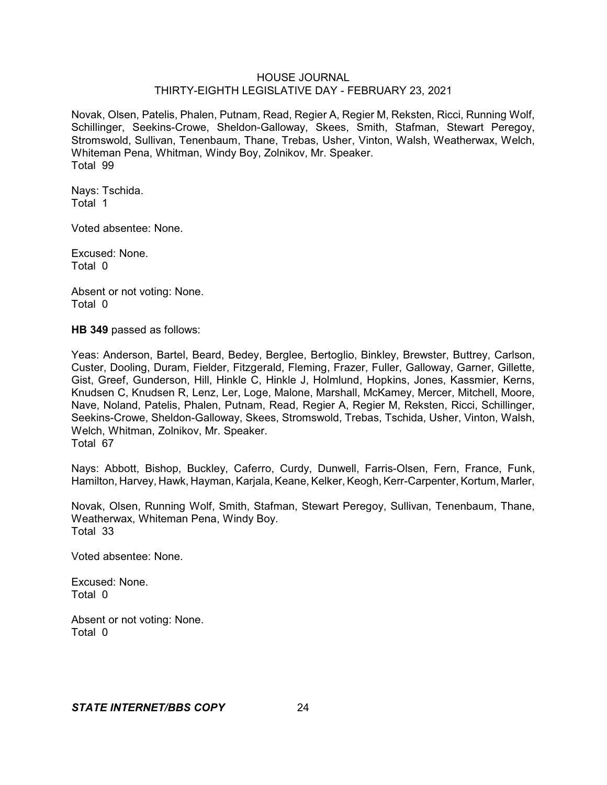Novak, Olsen, Patelis, Phalen, Putnam, Read, Regier A, Regier M, Reksten, Ricci, Running Wolf, Schillinger, Seekins-Crowe, Sheldon-Galloway, Skees, Smith, Stafman, Stewart Peregoy, Stromswold, Sullivan, Tenenbaum, Thane, Trebas, Usher, Vinton, Walsh, Weatherwax, Welch, Whiteman Pena, Whitman, Windy Boy, Zolnikov, Mr. Speaker. Total 99

Nays: Tschida. Total 1

Voted absentee: None.

Excused: None. Total 0

Absent or not voting: None. Total 0

**HB 349** passed as follows:

Yeas: Anderson, Bartel, Beard, Bedey, Berglee, Bertoglio, Binkley, Brewster, Buttrey, Carlson, Custer, Dooling, Duram, Fielder, Fitzgerald, Fleming, Frazer, Fuller, Galloway, Garner, Gillette, Gist, Greef, Gunderson, Hill, Hinkle C, Hinkle J, Holmlund, Hopkins, Jones, Kassmier, Kerns, Knudsen C, Knudsen R, Lenz, Ler, Loge, Malone, Marshall, McKamey, Mercer, Mitchell, Moore, Nave, Noland, Patelis, Phalen, Putnam, Read, Regier A, Regier M, Reksten, Ricci, Schillinger, Seekins-Crowe, Sheldon-Galloway, Skees, Stromswold, Trebas, Tschida, Usher, Vinton, Walsh, Welch, Whitman, Zolnikov, Mr. Speaker. Total 67

Nays: Abbott, Bishop, Buckley, Caferro, Curdy, Dunwell, Farris-Olsen, Fern, France, Funk, Hamilton, Harvey, Hawk, Hayman, Karjala, Keane, Kelker, Keogh, Kerr-Carpenter, Kortum, Marler,

Novak, Olsen, Running Wolf, Smith, Stafman, Stewart Peregoy, Sullivan, Tenenbaum, Thane, Weatherwax, Whiteman Pena, Windy Boy. Total 33

Voted absentee: None.

Excused: None. Total 0

Absent or not voting: None. Total 0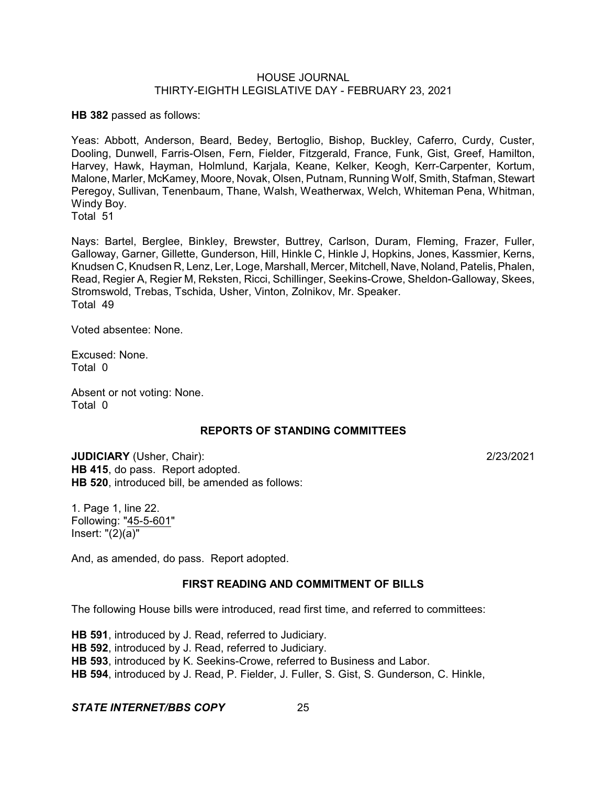**HB 382** passed as follows:

Yeas: Abbott, Anderson, Beard, Bedey, Bertoglio, Bishop, Buckley, Caferro, Curdy, Custer, Dooling, Dunwell, Farris-Olsen, Fern, Fielder, Fitzgerald, France, Funk, Gist, Greef, Hamilton, Harvey, Hawk, Hayman, Holmlund, Karjala, Keane, Kelker, Keogh, Kerr-Carpenter, Kortum, Malone, Marler, McKamey, Moore, Novak, Olsen, Putnam, Running Wolf, Smith, Stafman, Stewart Peregoy, Sullivan, Tenenbaum, Thane, Walsh, Weatherwax, Welch, Whiteman Pena, Whitman, Windy Boy.

Total 51

Nays: Bartel, Berglee, Binkley, Brewster, Buttrey, Carlson, Duram, Fleming, Frazer, Fuller, Galloway, Garner, Gillette, Gunderson, Hill, Hinkle C, Hinkle J, Hopkins, Jones, Kassmier, Kerns, Knudsen C, Knudsen R, Lenz, Ler, Loge, Marshall, Mercer, Mitchell, Nave, Noland, Patelis, Phalen, Read, Regier A, Regier M, Reksten, Ricci, Schillinger, Seekins-Crowe, Sheldon-Galloway, Skees, Stromswold, Trebas, Tschida, Usher, Vinton, Zolnikov, Mr. Speaker. Total 49

Voted absentee: None.

Excused: None. Total 0

Absent or not voting: None. Total 0

## **REPORTS OF STANDING COMMITTEES**

**JUDICIARY** (Usher, Chair): 2/23/2021 **HB 415**, do pass. Report adopted. **HB 520**, introduced bill, be amended as follows:

1. Page 1, line 22. Following: "45-5-601" Insert: "(2)(a)"

And, as amended, do pass. Report adopted.

### **FIRST READING AND COMMITMENT OF BILLS**

The following House bills were introduced, read first time, and referred to committees:

**HB 591**, introduced by J. Read, referred to Judiciary. **HB 592**, introduced by J. Read, referred to Judiciary. **HB 593**, introduced by K. Seekins-Crowe, referred to Business and Labor. **HB 594**, introduced by J. Read, P. Fielder, J. Fuller, S. Gist, S. Gunderson, C. Hinkle,